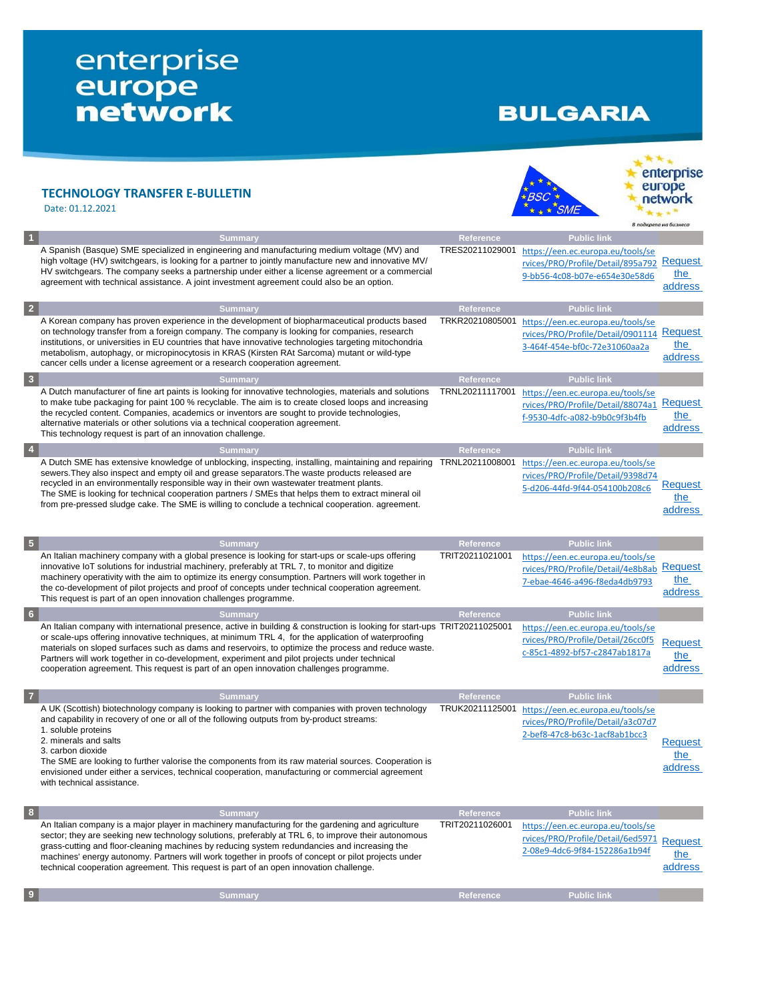## enterprise<br>
europe<br>
network

## **BULGARIA**

## **TECHNOLOGY TRANSFER E-BULLETIN** Date: 01.12.2021



**Request** the address

| Summary                                                                                                                                                                                                                                                                                                                                                                                                                                                                                 | <b>Reference</b> | <b>Public link</b>                                                                                      |                           |
|-----------------------------------------------------------------------------------------------------------------------------------------------------------------------------------------------------------------------------------------------------------------------------------------------------------------------------------------------------------------------------------------------------------------------------------------------------------------------------------------|------------------|---------------------------------------------------------------------------------------------------------|---------------------------|
| A Spanish (Basque) SME specialized in engineering and manufacturing medium voltage (MV) and<br>high voltage (HV) switchgears, is looking for a partner to jointly manufacture new and innovative MV/<br>HV switchgears. The company seeks a partnership under either a license agreement or a commercial<br>agreement with technical assistance. A joint investment agreement could also be an option.                                                                                  | TRES20211029001  | https://een.ec.europa.eu/tools/se<br>rvices/PRO/Profile/Detail/895a792<br>9-bb56-4c08-b07e-e654e30e58d6 | Request<br>the<br>address |
| <b>Summary</b>                                                                                                                                                                                                                                                                                                                                                                                                                                                                          | <b>Reference</b> | <b>Public link</b>                                                                                      |                           |
| A Korean company has proven experience in the development of biopharmaceutical products based<br>on technology transfer from a foreign company. The company is looking for companies, research<br>institutions, or universities in EU countries that have innovative technologies targeting mitochondria<br>metabolism, autophagy, or micropinocytosis in KRAS (Kirsten RAt Sarcoma) mutant or wild-type<br>cancer cells under a license agreement or a research cooperation agreement. | TRKR20210805001  | https://een.ec.europa.eu/tools/se<br>rvices/PRO/Profile/Detail/0901114<br>3-464f-454e-bf0c-72e31060aa2a | Request<br>the<br>address |
|                                                                                                                                                                                                                                                                                                                                                                                                                                                                                         |                  |                                                                                                         |                           |
| <b>Summary</b>                                                                                                                                                                                                                                                                                                                                                                                                                                                                          | Reference        | <b>Public link</b>                                                                                      |                           |
| A Dutch manufacturer of fine art paints is looking for innovative technologies, materials and solutions<br>to make tube packaging for paint 100 % recyclable. The aim is to create closed loops and increasing<br>the recycled content. Companies, academics or inventors are sought to provide technologies,<br>alternative materials or other solutions via a technical cooperation agreement.<br>This technology request is part of an innovation challenge.                         | TRNL20211117001  | https://een.ec.europa.eu/tools/se<br>rvices/PRO/Profile/Detail/88074a1<br>f-9530-4dfc-a082-b9b0c9f3b4fb | Request<br>the<br>address |
| Summary                                                                                                                                                                                                                                                                                                                                                                                                                                                                                 | Reference        | <b>Public link</b>                                                                                      |                           |

| $\sqrt{5}$      | <b>Summary</b>                                                                                                                                                                                                                                                                                                                                                                                                                                                                                                                      | <b>Reference</b> | <b>Public link</b>                                                                                      |                           |
|-----------------|-------------------------------------------------------------------------------------------------------------------------------------------------------------------------------------------------------------------------------------------------------------------------------------------------------------------------------------------------------------------------------------------------------------------------------------------------------------------------------------------------------------------------------------|------------------|---------------------------------------------------------------------------------------------------------|---------------------------|
|                 | An Italian machinery company with a global presence is looking for start-ups or scale-ups offering<br>innovative IoT solutions for industrial machinery, preferably at TRL 7, to monitor and digitize<br>machinery operativity with the aim to optimize its energy consumption. Partners will work together in<br>the co-development of pilot projects and proof of concepts under technical cooperation agreement.<br>This request is part of an open innovation challenges programme.                                             | TRIT20211021001  | https://een.ec.europa.eu/tools/se<br>rvices/PRO/Profile/Detail/4e8b8ab<br>7-ebae-4646-a496-f8eda4db9793 | Request<br>the<br>address |
| $6\phantom{.}6$ | <b>Summary</b>                                                                                                                                                                                                                                                                                                                                                                                                                                                                                                                      | <b>Reference</b> | <b>Public link</b>                                                                                      |                           |
|                 | An Italian company with international presence, active in building & construction is looking for start-ups TRIT20211025001<br>or scale-ups offering innovative techniques, at minimum TRL 4, for the application of waterproofing<br>materials on sloped surfaces such as dams and reservoirs, to optimize the process and reduce waste.<br>Partners will work together in co-development, experiment and pilot projects under technical<br>cooperation agreement. This request is part of an open innovation challenges programme. |                  | https://een.ec.europa.eu/tools/se<br>rvices/PRO/Profile/Detail/26cc0f5<br>c-85c1-4892-bf57-c2847ab1817a | Request<br>the<br>address |
| $\overline{7}$  | Summary                                                                                                                                                                                                                                                                                                                                                                                                                                                                                                                             | <b>Reference</b> | <b>Public link</b>                                                                                      |                           |
|                 | A UK (Scottish) biotechnology company is looking to partner with companies with proven technology<br>and capability in recovery of one or all of the following outputs from by-product streams:<br>1. soluble proteins<br>.                                                                                                                                                                                                                                                                                                         | TRUK20211125001  | https://een.ec.europa.eu/tools/se<br>rvices/PRO/Profile/Detail/a3c07d7<br>2-bef8-47c8-b63c-1acf8ab1bcc3 |                           |

2. minerals and salts

3. carbon dioxide

The SME are looking to further valorise the components from its raw material sources. Cooperation is envisioned under either a services, technical cooperation, manufacturing or commercial agreement with technical assistance.

| <b>Summary</b>                                                                                                                                                                                                                                                                                                                                                                                                                                                                                            | Reference       | <b>Public link</b>                                                                                              |                       |
|-----------------------------------------------------------------------------------------------------------------------------------------------------------------------------------------------------------------------------------------------------------------------------------------------------------------------------------------------------------------------------------------------------------------------------------------------------------------------------------------------------------|-----------------|-----------------------------------------------------------------------------------------------------------------|-----------------------|
| An Italian company is a major player in machinery manufacturing for the gardening and agriculture<br>sector; they are seeking new technology solutions, preferably at TRL 6, to improve their autonomous<br>grass-cutting and floor-cleaning machines by reducing system redundancies and increasing the<br>machines' energy autonomy. Partners will work together in proofs of concept or pilot projects under<br>technical cooperation agreement. This request is part of an open innovation challenge. | TRIT20211026001 | https://een.ec.europa.eu/tools/se<br>rvices/PRO/Profile/Detail/6ed5971 Request<br>2-08e9-4dc6-9f84-152286a1b94f | <u>the</u><br>address |
| Summarv                                                                                                                                                                                                                                                                                                                                                                                                                                                                                                   | Reference       | <b>Public link</b>                                                                                              |                       |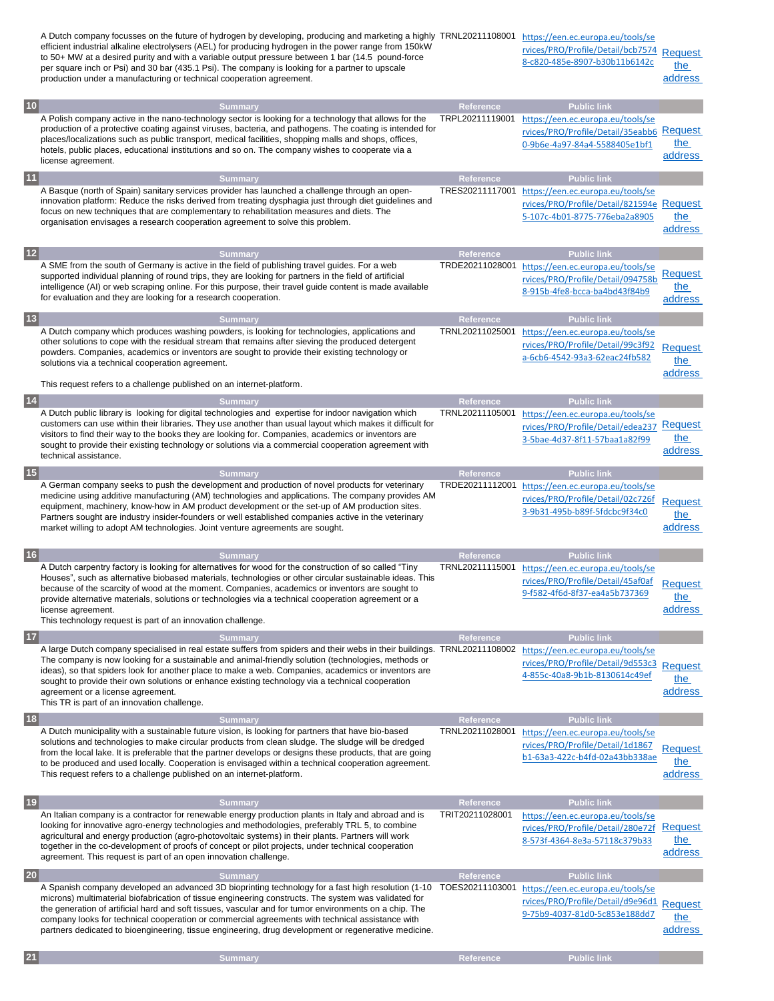|              | A Dutch company focusses on the future of hydrogen by developing, producing and marketing a highly TRNL20211108001<br>efficient industrial alkaline electrolysers (AEL) for producing hydrogen in the power range from 150kW<br>to 50+ MW at a desired purity and with a variable output pressure between 1 bar (14.5 pound-force<br>per square inch or Psi) and 30 bar (435.1 Psi). The company is looking for a partner to upscale<br>production under a manufacturing or technical cooperation agreement.                    |                                     | https://een.ec.europa.eu/tools/se<br>rvices/PRO/Profile/Detail/bcb7574<br>8-c820-485e-8907-b30b11b6142c                       | <b>Request</b><br>the<br>address |
|--------------|---------------------------------------------------------------------------------------------------------------------------------------------------------------------------------------------------------------------------------------------------------------------------------------------------------------------------------------------------------------------------------------------------------------------------------------------------------------------------------------------------------------------------------|-------------------------------------|-------------------------------------------------------------------------------------------------------------------------------|----------------------------------|
| $10$         | <b>Summary</b>                                                                                                                                                                                                                                                                                                                                                                                                                                                                                                                  | Reference                           | <b>Public link</b>                                                                                                            |                                  |
|              | A Polish company active in the nano-technology sector is looking for a technology that allows for the<br>production of a protective coating against viruses, bacteria, and pathogens. The coating is intended for<br>places/localizations such as public transport, medical facilities, shopping malls and shops, offices,<br>hotels, public places, educational institutions and so on. The company wishes to cooperate via a<br>license agreement.                                                                            | TRPL20211119001                     | https://een.ec.europa.eu/tools/se<br>rvices/PRO/Profile/Detail/35eabb6 Request<br>0-9b6e-4a97-84a4-5588405e1bf1               | the<br>address                   |
| 11           | <b>Summary</b>                                                                                                                                                                                                                                                                                                                                                                                                                                                                                                                  | Reference                           | <b>Public link</b>                                                                                                            |                                  |
|              | A Basque (north of Spain) sanitary services provider has launched a challenge through an open-<br>innovation platform: Reduce the risks derived from treating dysphagia just through diet guidelines and<br>focus on new techniques that are complementary to rehabilitation measures and diets. The<br>organisation envisages a research cooperation agreement to solve this problem.                                                                                                                                          | TRES20211117001                     | https://een.ec.europa.eu/tools/se<br>rvices/PRO/Profile/Detail/821594e Request<br>5-107c-4b01-8775-776eba2a8905               | the<br>address                   |
| $12$         | <b>Summary</b>                                                                                                                                                                                                                                                                                                                                                                                                                                                                                                                  | Reference                           | <b>Public link</b>                                                                                                            |                                  |
|              | A SME from the south of Germany is active in the field of publishing travel guides. For a web<br>supported individual planning of round trips, they are looking for partners in the field of artificial<br>intelligence (AI) or web scraping online. For this purpose, their travel quide content is made available<br>for evaluation and they are looking for a research cooperation.                                                                                                                                          | TRDE20211028001                     | https://een.ec.europa.eu/tools/se<br>rvices/PRO/Profile/Detail/094758b<br>8-915b-4fe8-bcca-ba4bd43f84b9                       | Request<br>the<br>address        |
| $13$         | <b>Summary</b>                                                                                                                                                                                                                                                                                                                                                                                                                                                                                                                  | <b>Reference</b>                    | <b>Public link</b>                                                                                                            |                                  |
|              | A Dutch company which produces washing powders, is looking for technologies, applications and<br>other solutions to cope with the residual stream that remains after sieving the produced detergent<br>powders. Companies, academics or inventors are sought to provide their existing technology or<br>solutions via a technical cooperation agreement.<br>This request refers to a challenge published on an internet-platform.                                                                                               | TRNL20211025001                     | https://een.ec.europa.eu/tools/se<br>rvices/PRO/Profile/Detail/99c3f92<br>a-6cb6-4542-93a3-62eac24fb582                       | <b>Request</b><br>the<br>address |
|              |                                                                                                                                                                                                                                                                                                                                                                                                                                                                                                                                 |                                     |                                                                                                                               |                                  |
| $14$         | <b>Summary</b><br>A Dutch public library is looking for digital technologies and expertise for indoor navigation which<br>customers can use within their libraries. They use another than usual layout which makes it difficult for<br>visitors to find their way to the books they are looking for. Companies, academics or inventors are<br>sought to provide their existing technology or solutions via a commercial cooperation agreement with<br>technical assistance.                                                     | <b>Reference</b><br>TRNL20211105001 | <b>Public link</b><br>https://een.ec.europa.eu/tools/se<br>rvices/PRO/Profile/Detail/edea237<br>3-5bae-4d37-8f11-57baa1a82f99 | Request<br>the<br>address        |
| $15$         | <b>Summary</b>                                                                                                                                                                                                                                                                                                                                                                                                                                                                                                                  | Reference                           | <b>Public link</b>                                                                                                            |                                  |
|              | A German company seeks to push the development and production of novel products for veterinary<br>medicine using additive manufacturing (AM) technologies and applications. The company provides AM<br>equipment, machinery, know-how in AM product development or the set-up of AM production sites.<br>Partners sought are industry insider-founders or well established companies active in the veterinary<br>market willing to adopt AM technologies. Joint venture agreements are sought.                                  | TRDE20211112001                     | https://een.ec.europa.eu/tools/se<br>rvices/PRO/Profile/Detail/02c726f<br>3-9b31-495b-b89f-5fdcbc9f34c0                       | <b>Request</b><br>the<br>address |
| 16           | <b>Summary</b>                                                                                                                                                                                                                                                                                                                                                                                                                                                                                                                  | Reference                           | <b>Public link</b>                                                                                                            |                                  |
|              | A Dutch carpentry factory is looking for alternatives for wood for the construction of so called "Tiny<br>Houses", such as alternative biobased materials, technologies or other circular sustainable ideas. This<br>because of the scarcity of wood at the moment. Companies, academics or inventors are sought to<br>provide alternative materials, solutions or technologies via a technical cooperation agreement or a<br>license agreement.<br>This technology request is part of an innovation challenge.                 | TRNL20211115001                     | https://een.ec.europa.eu/tools/se<br>rvices/PRO/Profile/Detail/45af0af<br>9-f582-4f6d-8f37-ea4a5b737369                       | <b>Request</b><br>the<br>address |
| $17$         | <b>Summary</b>                                                                                                                                                                                                                                                                                                                                                                                                                                                                                                                  | Reference                           | <b>Public link</b>                                                                                                            |                                  |
|              | A large Dutch company specialised in real estate suffers from spiders and their webs in their buildings. TRNL20211108002<br>The company is now looking for a sustainable and animal-friendly solution (technologies, methods or<br>ideas), so that spiders look for another place to make a web. Companies, academics or inventors are<br>sought to provide their own solutions or enhance existing technology via a technical cooperation<br>agreement or a license agreement.<br>This TR is part of an innovation challenge.  |                                     | https://een.ec.europa.eu/tools/se<br>rvices/PRO/Profile/Detail/9d553c3<br>4-855c-40a8-9b1b-8130614c49ef                       | <b>Request</b><br>the<br>address |
| $18$         | <b>Summary</b>                                                                                                                                                                                                                                                                                                                                                                                                                                                                                                                  | Reference                           | <b>Public link</b>                                                                                                            |                                  |
|              | A Dutch municipality with a sustainable future vision, is looking for partners that have bio-based<br>solutions and technologies to make circular products from clean sludge. The sludge will be dredged<br>from the local lake. It is preferable that the partner develops or designs these products, that are going<br>to be produced and used locally. Cooperation is envisaged within a technical cooperation agreement.<br>This request refers to a challenge published on an internet-platform.                           | TRNL20211028001                     | https://een.ec.europa.eu/tools/se<br>rvices/PRO/Profile/Detail/1d1867<br>b1-63a3-422c-b4fd-02a43bb338ae                       | <b>Request</b><br>the<br>address |
| $\boxed{19}$ | <b>Summary</b>                                                                                                                                                                                                                                                                                                                                                                                                                                                                                                                  | <b>Reference</b>                    | <b>Public link</b>                                                                                                            |                                  |
|              | An Italian company is a contractor for renewable energy production plants in Italy and abroad and is<br>looking for innovative agro-energy technologies and methodologies, preferably TRL 5, to combine<br>agricultural and energy production (agro-photovoltaic systems) in their plants. Partners will work<br>together in the co-development of proofs of concept or pilot projects, under technical cooperation<br>agreement. This request is part of an open innovation challenge.                                         | TRIT20211028001                     | https://een.ec.europa.eu/tools/se<br>rvices/PRO/Profile/Detail/280e72f<br>8-573f-4364-8e3a-57118c379b33                       | <b>Request</b><br>the<br>address |
| <b>20</b>    | <b>Summary</b>                                                                                                                                                                                                                                                                                                                                                                                                                                                                                                                  | Reference                           | <b>Public link</b>                                                                                                            |                                  |
|              | A Spanish company developed an advanced 3D bioprinting technology for a fast high resolution (1-10<br>microns) multimaterial biofabrication of tissue engineering constructs. The system was validated for<br>the generation of artificial hard and soft tissues, vascular and for tumor environments on a chip. The<br>company looks for technical cooperation or commercial agreements with technical assistance with<br>partners dedicated to bioengineering, tissue engineering, drug development or regenerative medicine. | TOES20211103001                     | https://een.ec.europa.eu/tools/se<br>rvices/PRO/Profile/Detail/d9e96d1<br>9-75b9-4037-81d0-5c853e188dd7                       | Request<br><u>the</u><br>address |

**21 Summary Reference Public link**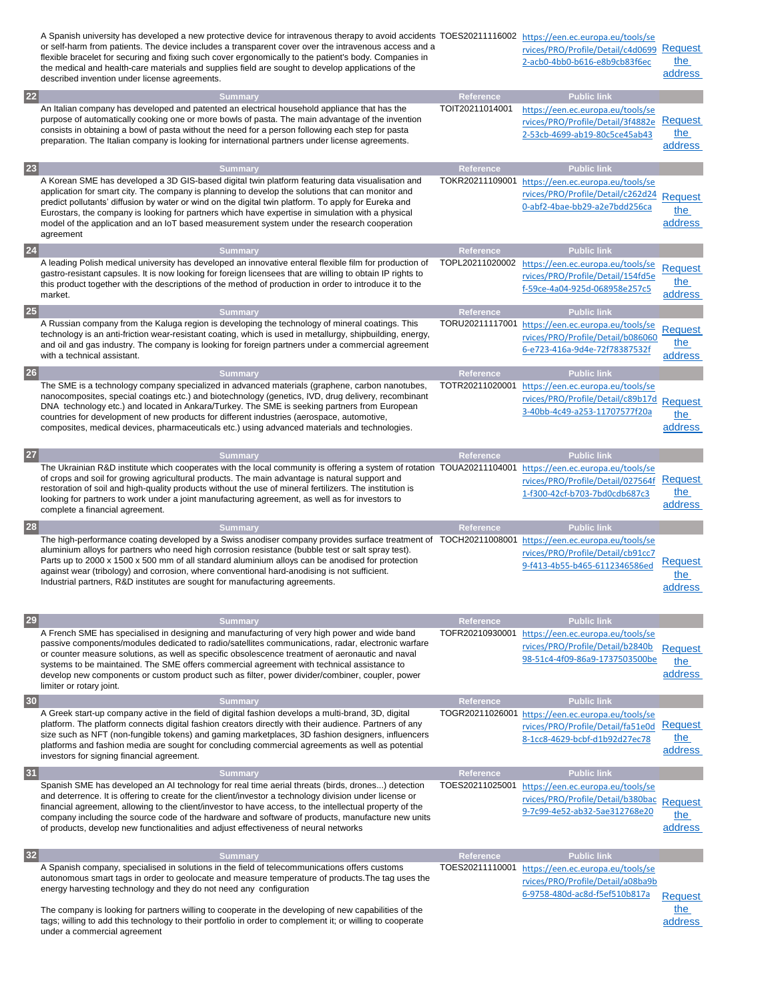|           | A Spanish university has developed a new protective device for intravenous therapy to avoid accidents TOES20211116002 https://een.ec.europa.eu/tools/se<br>or self-harm from patients. The device includes a transparent cover over the intravenous access and a<br>flexible bracelet for securing and fixing such cover ergonomically to the patient's body. Companies in<br>the medical and health-care materials and supplies field are sought to develop applications of the<br>described invention under license agreements.                  |                              | rvices/PRO/Profile/Detail/c4d0699<br>2-acb0-4bb0-b616-e8b9cb83f6ec                                                            | Request<br>the<br>address        |
|-----------|----------------------------------------------------------------------------------------------------------------------------------------------------------------------------------------------------------------------------------------------------------------------------------------------------------------------------------------------------------------------------------------------------------------------------------------------------------------------------------------------------------------------------------------------------|------------------------------|-------------------------------------------------------------------------------------------------------------------------------|----------------------------------|
| <b>22</b> | <b>Summary</b>                                                                                                                                                                                                                                                                                                                                                                                                                                                                                                                                     | Reference                    | <b>Public link</b>                                                                                                            |                                  |
|           | An Italian company has developed and patented an electrical household appliance that has the<br>purpose of automatically cooking one or more bowls of pasta. The main advantage of the invention<br>consists in obtaining a bowl of pasta without the need for a person following each step for pasta<br>preparation. The Italian company is looking for international partners under license agreements.                                                                                                                                          | TOIT20211014001              | https://een.ec.europa.eu/tools/se<br>rvices/PRO/Profile/Detail/3f4882e<br>2-53cb-4699-ab19-80c5ce45ab43                       | <b>Request</b><br>the<br>address |
| 23        | <b>Summary</b>                                                                                                                                                                                                                                                                                                                                                                                                                                                                                                                                     | Reference                    | <b>Public link</b>                                                                                                            |                                  |
|           | A Korean SME has developed a 3D GIS-based digital twin platform featuring data visualisation and<br>application for smart city. The company is planning to develop the solutions that can monitor and<br>predict pollutants' diffusion by water or wind on the digital twin platform. To apply for Eureka and<br>Eurostars, the company is looking for partners which have expertise in simulation with a physical<br>model of the application and an IoT based measurement system under the research cooperation<br>agreement                     | TOKR20211109001              | https://een.ec.europa.eu/tools/se<br>rvices/PRO/Profile/Detail/c262d24<br>0-abf2-4bae-bb29-a2e7bdd256ca                       | <b>Request</b><br>the<br>address |
| 24        | <b>Summary</b>                                                                                                                                                                                                                                                                                                                                                                                                                                                                                                                                     | Reference                    | <b>Public link</b>                                                                                                            |                                  |
|           | A leading Polish medical university has developed an innovative enteral flexible film for production of<br>gastro-resistant capsules. It is now looking for foreign licensees that are willing to obtain IP rights to<br>this product together with the descriptions of the method of production in order to introduce it to the<br>market.                                                                                                                                                                                                        | TOPL20211020002              | https://een.ec.europa.eu/tools/se<br>rvices/PRO/Profile/Detail/154fd5e<br>f-59ce-4a04-925d-068958e257c5                       | <b>Request</b><br>:he<br>address |
| <b>25</b> | <b>Summary</b>                                                                                                                                                                                                                                                                                                                                                                                                                                                                                                                                     | Reference                    | <b>Public link</b>                                                                                                            |                                  |
|           | A Russian company from the Kaluga region is developing the technology of mineral coatings. This<br>technology is an anti-friction wear-resistant coating, which is used in metallurgy, shipbuilding, energy,<br>and oil and gas industry. The company is looking for foreign partners under a commercial agreement<br>with a technical assistant.                                                                                                                                                                                                  |                              | TORU20211117001 https://een.ec.europa.eu/tools/se<br>rvices/PRO/Profile/Detail/b086060<br>6-e723-416a-9d4e-72f78387532f       | <b>Request</b><br>the<br>address |
| <b>26</b> | <b>Summary</b>                                                                                                                                                                                                                                                                                                                                                                                                                                                                                                                                     | Reference                    | <b>Public link</b>                                                                                                            |                                  |
|           | The SME is a technology company specialized in advanced materials (graphene, carbon nanotubes,<br>nanocomposites, special coatings etc.) and biotechnology (genetics, IVD, drug delivery, recombinant<br>DNA technology etc.) and located in Ankara/Turkey. The SME is seeking partners from European<br>countries for development of new products for different industries (aerospace, automotive,<br>composites, medical devices, pharmaceuticals etc.) using advanced materials and technologies.                                               | TOTR20211020001              | https://een.ec.europa.eu/tools/se<br>rvices/PRO/Profile/Detail/c89b17d<br>3-40bb-4c49-a253-11707577f20a                       | Request<br>the<br>address        |
| 27        | <b>Summary</b>                                                                                                                                                                                                                                                                                                                                                                                                                                                                                                                                     | Reference                    | <b>Public link</b>                                                                                                            |                                  |
|           | The Ukrainian R&D institute which cooperates with the local community is offering a system of rotation TOUA20211104001 https://een.ec.europa.eu/tools/se<br>of crops and soil for growing agricultural products. The main advantage is natural support and<br>restoration of soil and high-quality products without the use of mineral fertilizers. The institution is<br>looking for partners to work under a joint manufacturing agreement, as well as for investors to<br>complete a financial agreement.                                       |                              | rvices/PRO/Profile/Detail/027564f<br>1-f300-42cf-b703-7bd0cdb687c3                                                            | <b>Request</b><br>the<br>address |
| <b>28</b> | <b>Summary</b>                                                                                                                                                                                                                                                                                                                                                                                                                                                                                                                                     | Reference                    | <b>Public link</b>                                                                                                            |                                  |
|           | The high-performance coating developed by a Swiss anodiser company provides surface treatment of TOCH20211008001 https://een.ec.europa.eu/tools/se<br>aluminium alloys for partners who need high corrosion resistance (bubble test or salt spray test).<br>Parts up to 2000 x 1500 x 500 mm of all standard aluminium alloys can be anodised for protection<br>against wear (tribology) and corrosion, where conventional hard-anodising is not sufficient.<br>Industrial partners, R&D institutes are sought for manufacturing agreements.       |                              | rvices/PRO/Profile/Detail/cb91cc7<br>9-f413-4b55-b465-6112346586ed                                                            | Request<br>the<br>address        |
| 29        | <b>Summary</b>                                                                                                                                                                                                                                                                                                                                                                                                                                                                                                                                     | Reference                    | <b>Public link</b>                                                                                                            |                                  |
|           | A French SME has specialised in designing and manufacturing of very high power and wide band<br>passive components/modules dedicated to radio/satellites communications, radar, electronic warfare<br>or counter measure solutions, as well as specific obsolescence treatment of aeronautic and naval<br>systems to be maintained. The SME offers commercial agreement with technical assistance to<br>develop new components or custom product such as filter, power divider/combiner, coupler, power<br>limiter or rotary joint.                | TOFR20210930001              | https://een.ec.europa.eu/tools/se<br>rvices/PRO/Profile/Detail/b2840b<br>98-51c4-4f09-86a9-1737503500be                       | <b>Request</b><br>the<br>address |
| 30        | <b>Summary</b>                                                                                                                                                                                                                                                                                                                                                                                                                                                                                                                                     | Reference                    | <b>Public link</b>                                                                                                            |                                  |
|           | A Greek start-up company active in the field of digital fashion develops a multi-brand, 3D, digital<br>platform. The platform connects digital fashion creators directly with their audience. Partners of any<br>size such as NFT (non-fungible tokens) and gaming marketplaces, 3D fashion designers, influencers<br>platforms and fashion media are sought for concluding commercial agreements as well as potential<br>investors for signing financial agreement.                                                                               |                              | TOGR20211026001 https://een.ec.europa.eu/tools/se<br>rvices/PRO/Profile/Detail/fa51e0d<br>8-1cc8-4629-bcbf-d1b92d27ec78       | Request<br>the<br>address        |
| 31        | <b>Summary</b>                                                                                                                                                                                                                                                                                                                                                                                                                                                                                                                                     | Reference                    | <b>Public link</b>                                                                                                            |                                  |
|           | Spanish SME has developed an AI technology for real time aerial threats (birds, drones) detection<br>and deterrence. It is offering to create for the client/investor a technology division under license or<br>financial agreement, allowing to the client/investor to have access, to the intellectual property of the<br>company including the source code of the hardware and software of products, manufacture new units<br>of products, develop new functionalities and adjust effectiveness of neural networks                              | TOES20211025001              | https://een.ec.europa.eu/tools/se<br>rvices/PRO/Profile/Detail/b380bac<br>9-7c99-4e52-ab32-5ae312768e20                       | Request<br>the<br>address        |
| 32        | <b>Summary</b><br>A Spanish company, specialised in solutions in the field of telecommunications offers customs<br>autonomous smart tags in order to geolocate and measure temperature of products. The tag uses the<br>energy harvesting technology and they do not need any configuration<br>The company is looking for partners willing to cooperate in the developing of new capabilities of the<br>tags; willing to add this technology to their portfolio in order to complement it; or willing to cooperate<br>under a commercial agreement | Reference<br>TOES20211110001 | <b>Public link</b><br>https://een.ec.europa.eu/tools/se<br>rvices/PRO/Profile/Detail/a08ba9b<br>6-9758-480d-ac8d-f5ef510b817a | Request<br>the<br>address        |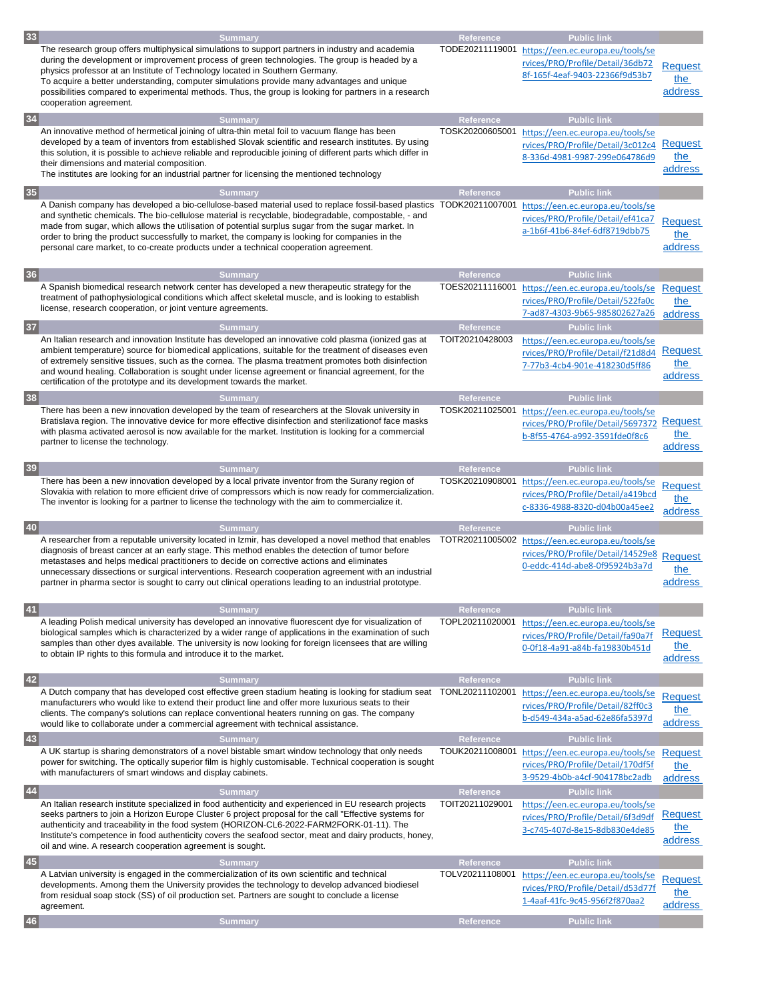| 33 | <b>Summary</b>                                                                                                                                                                                                   | Reference        | <b>Public link</b>                                |                           |
|----|------------------------------------------------------------------------------------------------------------------------------------------------------------------------------------------------------------------|------------------|---------------------------------------------------|---------------------------|
|    | The research group offers multiphysical simulations to support partners in industry and academia                                                                                                                 | TODE20211119001  | https://een.ec.europa.eu/tools/se                 |                           |
|    | during the development or improvement process of green technologies. The group is headed by a                                                                                                                    |                  | rvices/PRO/Profile/Detail/36db72                  | <b>Request</b>            |
|    | physics professor at an Institute of Technology located in Southern Germany.<br>To acquire a better understanding, computer simulations provide many advantages and unique                                       |                  | 8f-165f-4eaf-9403-22366f9d53b7                    | the                       |
|    | possibilities compared to experimental methods. Thus, the group is looking for partners in a research                                                                                                            |                  |                                                   | address                   |
|    | cooperation agreement.                                                                                                                                                                                           |                  |                                                   |                           |
| 34 | <b>Summary</b>                                                                                                                                                                                                   | Reference        | <b>Public link</b>                                |                           |
|    | An innovative method of hermetical joining of ultra-thin metal foil to vacuum flange has been                                                                                                                    | TOSK20200605001  | https://een.ec.europa.eu/tools/se                 |                           |
|    | developed by a team of inventors from established Slovak scientific and research institutes. By using                                                                                                            |                  | rvices/PRO/Profile/Detail/3c012c4                 | Request                   |
|    | this solution, it is possible to achieve reliable and reproducible joining of different parts which differ in                                                                                                    |                  | 8-336d-4981-9987-299e064786d9                     | the                       |
|    | their dimensions and material composition.<br>The institutes are looking for an industrial partner for licensing the mentioned technology                                                                        |                  |                                                   | address                   |
|    |                                                                                                                                                                                                                  |                  |                                                   |                           |
| 35 | <b>Summary</b>                                                                                                                                                                                                   | <b>Reference</b> | <b>Public link</b>                                |                           |
|    | A Danish company has developed a bio-cellulose-based material used to replace fossil-based plastics TODK20211007001                                                                                              |                  | https://een.ec.europa.eu/tools/se                 |                           |
|    | and synthetic chemicals. The bio-cellulose material is recyclable, biodegradable, compostable, - and<br>made from sugar, which allows the utilisation of potential surplus sugar from the sugar market. In       |                  | rvices/PRO/Profile/Detail/ef41ca7                 | <b>Request</b>            |
|    | order to bring the product successfully to market, the company is looking for companies in the                                                                                                                   |                  | a-1b6f-41b6-84ef-6df8719dbb75                     | the                       |
|    | personal care market, to co-create products under a technical cooperation agreement.                                                                                                                             |                  |                                                   | address                   |
|    |                                                                                                                                                                                                                  |                  |                                                   |                           |
| 36 | <b>Summary</b>                                                                                                                                                                                                   | Reference        | <b>Public link</b>                                |                           |
|    | A Spanish biomedical research network center has developed a new therapeutic strategy for the                                                                                                                    | TOES20211116001  | https://een.ec.europa.eu/tools/se                 | <b>Request</b>            |
|    | treatment of pathophysiological conditions which affect skeletal muscle, and is looking to establish<br>license, research cooperation, or joint venture agreements.                                              |                  | rvices/PRO/Profile/Detail/522fa0c                 | the                       |
|    |                                                                                                                                                                                                                  |                  | 7-ad87-4303-9b65-985802627a26                     | address                   |
| 37 | <b>Summary</b>                                                                                                                                                                                                   | <b>Reference</b> | <b>Public link</b>                                |                           |
|    | An Italian research and innovation Institute has developed an innovative cold plasma (ionized gas at<br>ambient temperature) source for biomedical applications, suitable for the treatment of diseases even     | TOIT20210428003  | https://een.ec.europa.eu/tools/se                 |                           |
|    | of extremely sensitive tissues, such as the cornea. The plasma treatment promotes both disinfection                                                                                                              |                  | rvices/PRO/Profile/Detail/f21d8d4                 | Request                   |
|    | and wound healing. Collaboration is sought under license agreement or financial agreement, for the                                                                                                               |                  | 7-77b3-4cb4-901e-418230d5ff86                     | the<br>address            |
|    | certification of the prototype and its development towards the market.                                                                                                                                           |                  |                                                   |                           |
| 38 | <b>Summary</b>                                                                                                                                                                                                   | <b>Reference</b> | <b>Public link</b>                                |                           |
|    | There has been a new innovation developed by the team of researchers at the Slovak university in                                                                                                                 | TOSK20211025001  | https://een.ec.europa.eu/tools/se                 |                           |
|    | Bratislava region. The innovative device for more effective disinfection and sterilizationof face masks                                                                                                          |                  | rvices/PRO/Profile/Detail/5697372                 | Request                   |
|    | with plasma activated aerosol is now available for the market. Institution is looking for a commercial<br>partner to license the technology.                                                                     |                  | b-8f55-4764-a992-3591fde0f8c6                     | the                       |
|    |                                                                                                                                                                                                                  |                  |                                                   | address                   |
| 39 | <b>Summary</b>                                                                                                                                                                                                   | Reference        | <b>Public link</b>                                |                           |
|    | There has been a new innovation developed by a local private inventor from the Surany region of                                                                                                                  | TOSK20210908001  | https://een.ec.europa.eu/tools/se                 |                           |
|    |                                                                                                                                                                                                                  |                  |                                                   |                           |
|    | Slovakia with relation to more efficient drive of compressors which is now ready for commercialization.                                                                                                          |                  | rvices/PRO/Profile/Detail/a419bcd                 | <b>Request</b>            |
|    | The inventor is looking for a partner to license the technology with the aim to commercialize it.                                                                                                                |                  | c-8336-4988-8320-d04b00a45ee2                     | :he                       |
|    |                                                                                                                                                                                                                  |                  |                                                   | address                   |
| 40 | <b>Summary</b>                                                                                                                                                                                                   | <b>Reference</b> | <b>Public link</b>                                |                           |
|    | A researcher from a reputable university located in Izmir, has developed a novel method that enables                                                                                                             |                  | TOTR20211005002 https://een.ec.europa.eu/tools/se |                           |
|    | diagnosis of breast cancer at an early stage. This method enables the detection of tumor before<br>metastases and helps medical practitioners to decide on corrective actions and eliminates                     |                  | rvices/PRO/Profile/Detail/14529e8                 |                           |
|    | unnecessary dissections or surgical interventions. Research cooperation agreement with an industrial                                                                                                             |                  | 0-eddc-414d-abe8-0f95924b3a7d                     | the                       |
|    | partner in pharma sector is sought to carry out clinical operations leading to an industrial prototype.                                                                                                          |                  |                                                   | <b>Request</b><br>address |
|    |                                                                                                                                                                                                                  |                  |                                                   |                           |
| 41 | <b>Summary</b>                                                                                                                                                                                                   | Reference        | <b>Public link</b>                                |                           |
|    | A leading Polish medical university has developed an innovative fluorescent dye for visualization of                                                                                                             | TOPL20211020001  | https://een.ec.europa.eu/tools/se                 |                           |
|    | biological samples which is characterized by a wider range of applications in the examination of such<br>samples than other dyes available. The university is now looking for foreign licensees that are willing |                  | rvices/PRO/Profile/Detail/fa90a7f                 | <b>Request</b>            |
|    | to obtain IP rights to this formula and introduce it to the market.                                                                                                                                              |                  | 0-0f18-4a91-a84b-fa19830b451d                     | the                       |
|    |                                                                                                                                                                                                                  |                  |                                                   | address                   |
| 42 | <b>Summary</b>                                                                                                                                                                                                   | Reference        | <b>Public link</b>                                |                           |
|    | A Dutch company that has developed cost effective green stadium heating is looking for stadium seat TONL20211102001                                                                                              |                  | https://een.ec.europa.eu/tools/se                 | <b>Request</b>            |
|    | manufacturers who would like to extend their product line and offer more luxurious seats to their                                                                                                                |                  | rvices/PRO/Profile/Detail/82ff0c3                 | the                       |
|    | clients. The company's solutions can replace conventional heaters running on gas. The company<br>would like to collaborate under a commercial agreement with technical assistance.                               |                  | b-d549-434a-a5ad-62e86fa5397d                     | address                   |
|    | <b>Summary</b>                                                                                                                                                                                                   | Reference        | <b>Public link</b>                                |                           |
| 43 | A UK startup is sharing demonstrators of a novel bistable smart window technology that only needs                                                                                                                | TOUK20211008001  | https://een.ec.europa.eu/tools/se                 | Request                   |
|    | power for switching. The optically superior film is highly customisable. Technical cooperation is sought                                                                                                         |                  | rvices/PRO/Profile/Detail/170df5f                 | the                       |
|    | with manufacturers of smart windows and display cabinets.                                                                                                                                                        |                  | 3-9529-4b0b-a4cf-904178bc2adb                     | address                   |
| 44 | <b>Summary</b>                                                                                                                                                                                                   | Reference        | <b>Public link</b>                                |                           |
|    | An Italian research institute specialized in food authenticity and experienced in EU research projects                                                                                                           | TOIT20211029001  | https://een.ec.europa.eu/tools/se                 |                           |
|    | seeks partners to join a Horizon Europe Cluster 6 project proposal for the call "Effective systems for                                                                                                           |                  | rvices/PRO/Profile/Detail/6f3d9df                 | Request                   |
|    | authenticity and traceability in the food system (HORIZON-CL6-2022-FARM2FORK-01-11). The                                                                                                                         |                  | 3-c745-407d-8e15-8db830e4de85                     | the                       |
|    | Institute's competence in food authenticity covers the seafood sector, meat and dairy products, honey,                                                                                                           |                  |                                                   | address                   |
|    | oil and wine. A research cooperation agreement is sought.                                                                                                                                                        |                  |                                                   |                           |
| 45 | <b>Summary</b>                                                                                                                                                                                                   | Reference        | <b>Public link</b>                                |                           |
|    | A Latvian university is engaged in the commercialization of its own scientific and technical<br>developments. Among them the University provides the technology to develop advanced biodiesel                    | TOLV20211108001  | https://een.ec.europa.eu/tools/se                 |                           |
|    | from residual soap stock (SS) of oil production set. Partners are sought to conclude a license                                                                                                                   |                  | rvices/PRO/Profile/Detail/d53d77f                 | <b>Request</b><br>the     |
|    | agreement.                                                                                                                                                                                                       |                  | 1-4aaf-41fc-9c45-956f2f870aa2                     | address                   |
| 46 | <b>Summary</b>                                                                                                                                                                                                   | Reference        | <b>Public link</b>                                |                           |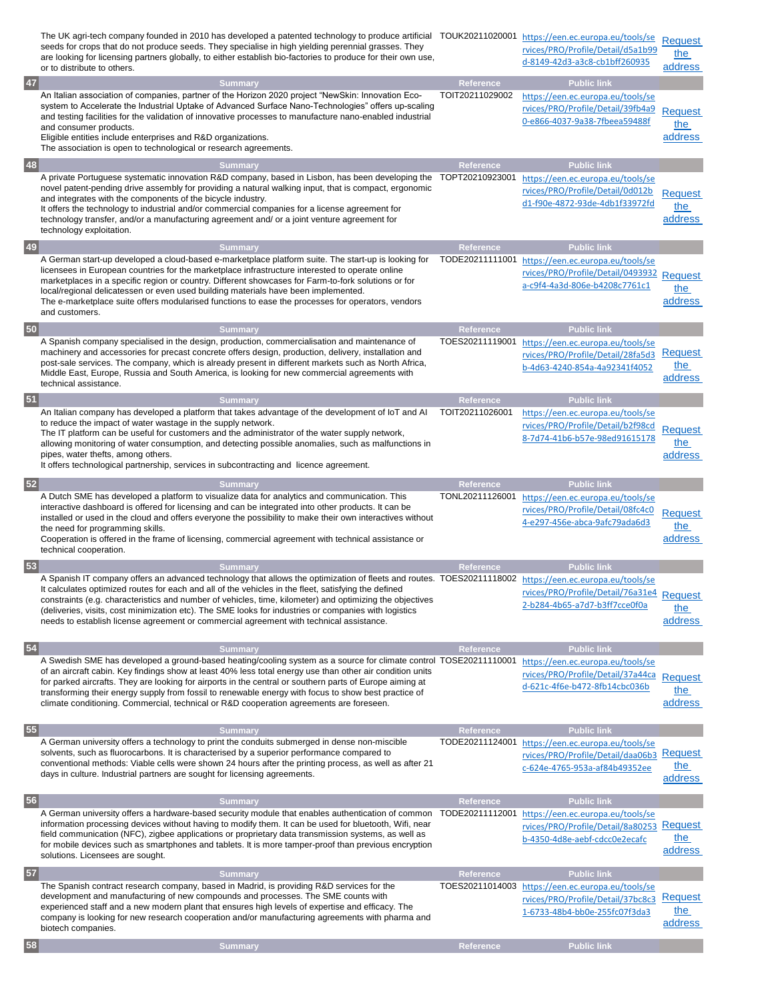|    | The UK agri-tech company founded in 2010 has developed a patented technology to produce artificial TOUK20211020001 https://een.ec.europa.eu/tools/se<br>seeds for crops that do not produce seeds. They specialise in high yielding perennial grasses. They<br>are looking for licensing partners globally, to either establish bio-factories to produce for their own use,<br>or to distribute to others.                                                                                                                                                                      |                              | rvices/PRO/Profile/Detail/d5a1b99<br>d-8149-42d3-a3c8-cb1bff260935                                                            | Request<br>the<br>address        |
|----|---------------------------------------------------------------------------------------------------------------------------------------------------------------------------------------------------------------------------------------------------------------------------------------------------------------------------------------------------------------------------------------------------------------------------------------------------------------------------------------------------------------------------------------------------------------------------------|------------------------------|-------------------------------------------------------------------------------------------------------------------------------|----------------------------------|
| 47 | <b>Summary</b><br>An Italian association of companies, partner of the Horizon 2020 project "NewSkin: Innovation Eco-<br>system to Accelerate the Industrial Uptake of Advanced Surface Nano-Technologies" offers up-scaling                                                                                                                                                                                                                                                                                                                                                     | Reference<br>TOIT20211029002 | <b>Public link</b><br>https://een.ec.europa.eu/tools/se<br>rvices/PRO/Profile/Detail/39fb4a9                                  | <b>Request</b>                   |
|    | and testing facilities for the validation of innovative processes to manufacture nano-enabled industrial<br>and consumer products.<br>Eligible entities include enterprises and R&D organizations.<br>The association is open to technological or research agreements.                                                                                                                                                                                                                                                                                                          |                              | 0-e866-4037-9a38-7fbeea59488f                                                                                                 | the<br>address                   |
| 48 | <b>Summary</b>                                                                                                                                                                                                                                                                                                                                                                                                                                                                                                                                                                  | Reference                    | <b>Public link</b>                                                                                                            |                                  |
|    | A private Portuguese systematic innovation R&D company, based in Lisbon, has been developing the<br>novel patent-pending drive assembly for providing a natural walking input, that is compact, ergonomic<br>and integrates with the components of the bicycle industry.<br>It offers the technology to industrial and/or commercial companies for a license agreement for<br>technology transfer, and/or a manufacturing agreement and/ or a joint venture agreement for<br>technology exploitation.                                                                           | TOPT20210923001              | https://een.ec.europa.eu/tools/se<br>rvices/PRO/Profile/Detail/0d012b<br>d1-f90e-4872-93de-4db1f33972fd                       | <b>Request</b><br>the<br>address |
| 49 | <b>Summary</b>                                                                                                                                                                                                                                                                                                                                                                                                                                                                                                                                                                  | Reference                    | <b>Public link</b>                                                                                                            |                                  |
|    | A German start-up developed a cloud-based e-marketplace platform suite. The start-up is looking for<br>licensees in European countries for the marketplace infrastructure interested to operate online<br>marketplaces in a specific region or country. Different showcases for Farm-to-fork solutions or for<br>local/regional delicatessen or even used building materials have been implemented.<br>The e-marketplace suite offers modularised functions to ease the processes for operators, vendors<br>and customers.                                                      | TODE20211111001              | https://een.ec.europa.eu/tools/se<br>rvices/PRO/Profile/Detail/0493932<br>a-c9f4-4a3d-806e-b4208c7761c1                       | Request<br>the<br>address        |
| 50 | <b>Summary</b>                                                                                                                                                                                                                                                                                                                                                                                                                                                                                                                                                                  | Reference                    | <b>Public link</b>                                                                                                            |                                  |
|    | A Spanish company specialised in the design, production, commercialisation and maintenance of<br>machinery and accessories for precast concrete offers design, production, delivery, installation and<br>post-sale services. The company, which is already present in different markets such as North Africa,<br>Middle East, Europe, Russia and South America, is looking for new commercial agreements with<br>technical assistance.                                                                                                                                          | TOES20211119001              | https://een.ec.europa.eu/tools/se<br>rvices/PRO/Profile/Detail/28fa5d3<br>b-4d63-4240-854a-4a92341f4052                       | Request<br>the<br>address        |
| 51 | <b>Summary</b>                                                                                                                                                                                                                                                                                                                                                                                                                                                                                                                                                                  | Reference                    | <b>Public link</b>                                                                                                            |                                  |
|    | An Italian company has developed a platform that takes advantage of the development of loT and Al<br>to reduce the impact of water wastage in the supply network.<br>The IT platform can be useful for customers and the administrator of the water supply network,<br>allowing monitoring of water consumption, and detecting possible anomalies, such as malfunctions in<br>pipes, water thefts, among others.<br>It offers technological partnership, services in subcontracting and licence agreement.                                                                      | TOIT20211026001              | https://een.ec.europa.eu/tools/se<br>rvices/PRO/Profile/Detail/b2f98cd<br>8-7d74-41b6-b57e-98ed91615178                       | <b>Request</b><br>the<br>address |
| 52 | <b>Summary</b>                                                                                                                                                                                                                                                                                                                                                                                                                                                                                                                                                                  | Reference                    | <b>Public link</b>                                                                                                            |                                  |
|    | A Dutch SME has developed a platform to visualize data for analytics and communication. This<br>interactive dashboard is offered for licensing and can be integrated into other products. It can be<br>installed or used in the cloud and offers everyone the possibility to make their own interactives without<br>the need for programming skills.<br>Cooperation is offered in the frame of licensing, commercial agreement with technical assistance or<br>technical cooperation.                                                                                           | TONL20211126001              | https://een.ec.europa.eu/tools/se<br>rvices/PRO/Profile/Detail/08fc4c0<br>4-e297-456e-abca-9afc79ada6d3                       | <b>Request</b><br>the<br>address |
| 53 | <b>Summary</b>                                                                                                                                                                                                                                                                                                                                                                                                                                                                                                                                                                  | <b>Reference</b>             | <b>Public link</b>                                                                                                            |                                  |
|    | A Spanish IT company offers an advanced technology that allows the optimization of fleets and routes. TOES20211118002 https://een.ec.europa.eu/tools/se<br>It calculates optimized routes for each and all of the vehicles in the fleet, satisfying the defined<br>constraints (e.g. characteristics and number of vehicles, time, kilometer) and optimizing the objectives<br>(deliveries, visits, cost minimization etc). The SME looks for industries or companies with logistics<br>needs to establish license agreement or commercial agreement with technical assistance. |                              | rvices/PRO/Profile/Detail/76a31e4 Request<br>2-b284-4b65-a7d7-b3ff7cce0f0a                                                    | the<br>address                   |
| 54 | <b>Summary</b><br>A Swedish SME has developed a ground-based heating/cooling system as a source for climate control TOSE20211110001<br>of an aircraft cabin. Key findings show at least 40% less total energy use than other air condition units<br>for parked aircrafts. They are looking for airports in the central or southern parts of Europe aiming at<br>transforming their energy supply from fossil to renewable energy with focus to show best practice of<br>climate conditioning. Commercial, technical or R&D cooperation agreements are foreseen.                 | Reference                    | <b>Public link</b><br>https://een.ec.europa.eu/tools/se<br>rvices/PRO/Profile/Detail/37a44ca<br>d-621c-4f6e-b472-8fb14cbc036b | Request<br>the<br>address        |
| 55 | <b>Summary</b>                                                                                                                                                                                                                                                                                                                                                                                                                                                                                                                                                                  | Reference                    | <b>Public link</b>                                                                                                            |                                  |
|    | A German university offers a technology to print the conduits submerged in dense non-miscible<br>solvents, such as fluorocarbons. It is characterised by a superior performance compared to<br>conventional methods: Viable cells were shown 24 hours after the printing process, as well as after 21<br>days in culture. Industrial partners are sought for licensing agreements.                                                                                                                                                                                              | TODE20211124001              | https://een.ec.europa.eu/tools/se<br>rvices/PRO/Profile/Detail/daa06b3<br>c-624e-4765-953a-af84b49352ee                       | Request<br>the<br>address        |
| 56 | <b>Summary</b>                                                                                                                                                                                                                                                                                                                                                                                                                                                                                                                                                                  | Reference                    | <b>Public link</b>                                                                                                            |                                  |
|    | A German university offers a hardware-based security module that enables authentication of common<br>information processing devices without having to modify them. It can be used for bluetooth, Wifi, near<br>field communication (NFC), zigbee applications or proprietary data transmission systems, as well as<br>for mobile devices such as smartphones and tablets. It is more tamper-proof than previous encryption<br>solutions. Licensees are sought.                                                                                                                  | TODE20211112001              | https://een.ec.europa.eu/tools/se<br>rvices/PRO/Profile/Detail/8a80253<br>b-4350-4d8e-aebf-cdcc0e2ecafc                       | <b>Request</b><br>the<br>address |
| 57 | <b>Summary</b>                                                                                                                                                                                                                                                                                                                                                                                                                                                                                                                                                                  | Reference                    | <b>Public link</b>                                                                                                            |                                  |
|    | The Spanish contract research company, based in Madrid, is providing R&D services for the<br>development and manufacturing of new compounds and processes. The SME counts with<br>experienced staff and a new modern plant that ensures high levels of expertise and efficacy. The<br>company is looking for new research cooperation and/or manufacturing agreements with pharma and<br>biotech companies.                                                                                                                                                                     | TOES20211014003              | https://een.ec.europa.eu/tools/se<br>rvices/PRO/Profile/Detail/37bc8c3<br>1-6733-48b4-bb0e-255fc07f3da3                       | Request<br>the<br>address        |
| 58 | <b>Summary</b>                                                                                                                                                                                                                                                                                                                                                                                                                                                                                                                                                                  | Reference                    | <b>Public link</b>                                                                                                            |                                  |